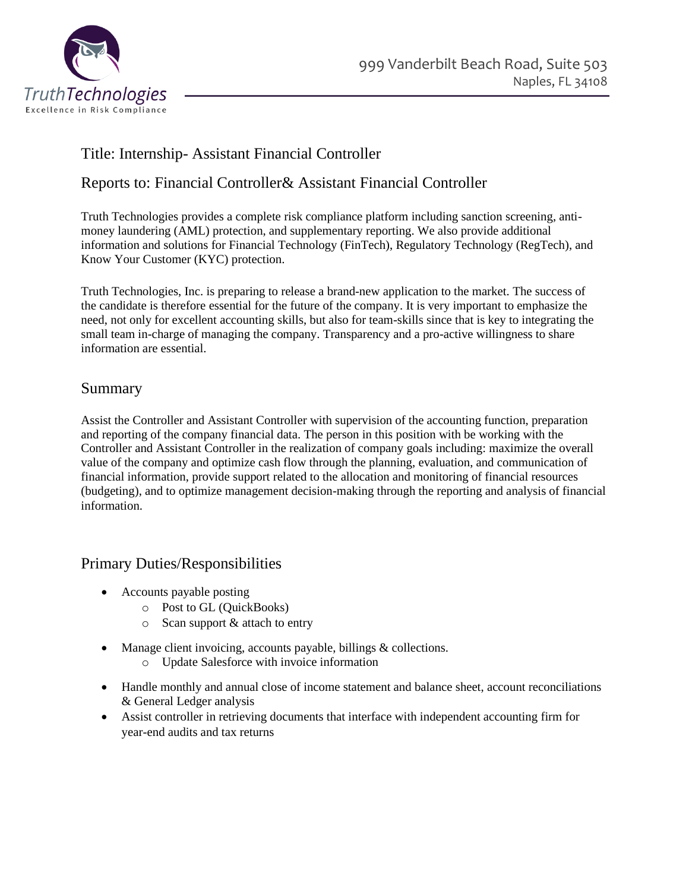

# Title: Internship- Assistant Financial Controller

### Reports to: Financial Controller& Assistant Financial Controller

Truth Technologies provides a complete risk compliance platform including sanction screening, antimoney laundering (AML) protection, and supplementary reporting. We also provide additional information and solutions for Financial Technology (FinTech), Regulatory Technology (RegTech), and Know Your Customer (KYC) protection.

Truth Technologies, Inc. is preparing to release a brand-new application to the market. The success of the candidate is therefore essential for the future of the company. It is very important to emphasize the need, not only for excellent accounting skills, but also for team-skills since that is key to integrating the small team in-charge of managing the company. Transparency and a pro-active willingness to share information are essential.

### Summary

Assist the Controller and Assistant Controller with supervision of the accounting function, preparation and reporting of the company financial data. The person in this position with be working with the Controller and Assistant Controller in the realization of company goals including: maximize the overall value of the company and optimize cash flow through the planning, evaluation, and communication of financial information, provide support related to the allocation and monitoring of financial resources (budgeting), and to optimize management decision-making through the reporting and analysis of financial information.

#### Primary Duties/Responsibilities

- Accounts payable posting
	- o Post to GL (QuickBooks)
	- o Scan support & attach to entry
- Manage client invoicing, accounts payable, billings & collections.
	- o Update Salesforce with invoice information
- Handle monthly and annual close of income statement and balance sheet, account reconciliations & General Ledger analysis
- Assist controller in retrieving documents that interface with independent accounting firm for year-end audits and tax returns